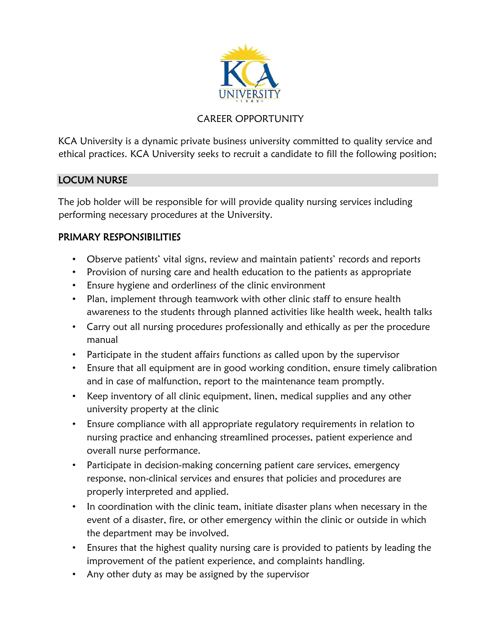

# CAREER OPPORTUNITY

KCA University is a dynamic private business university committed to quality service and ethical practices. KCA University seeks to recruit a candidate to fill the following position;

### LOCUM NURSE

The job holder will be responsible for will provide quality nursing services including performing necessary procedures at the University.

## PRIMARY RESPONSIBILITIES

- Observe patients' vital signs, review and maintain patients' records and reports
- Provision of nursing care and health education to the patients as appropriate
- Ensure hygiene and orderliness of the clinic environment
- Plan, implement through teamwork with other clinic staff to ensure health awareness to the students through planned activities like health week, health talks
- Carry out all nursing procedures professionally and ethically as per the procedure manual
- Participate in the student affairs functions as called upon by the supervisor
- Ensure that all equipment are in good working condition, ensure timely calibration and in case of malfunction, report to the maintenance team promptly.
- Keep inventory of all clinic equipment, linen, medical supplies and any other university property at the clinic
- Ensure compliance with all appropriate regulatory requirements in relation to nursing practice and enhancing streamlined processes, patient experience and overall nurse performance.
- Participate in decision-making concerning patient care services, emergency response, non-clinical services and ensures that policies and procedures are properly interpreted and applied.
- In coordination with the clinic team, initiate disaster plans when necessary in the event of a disaster, fire, or other emergency within the clinic or outside in which the department may be involved.
- Ensures that the highest quality nursing care is provided to patients by leading the improvement of the patient experience, and complaints handling.
- Any other duty as may be assigned by the supervisor